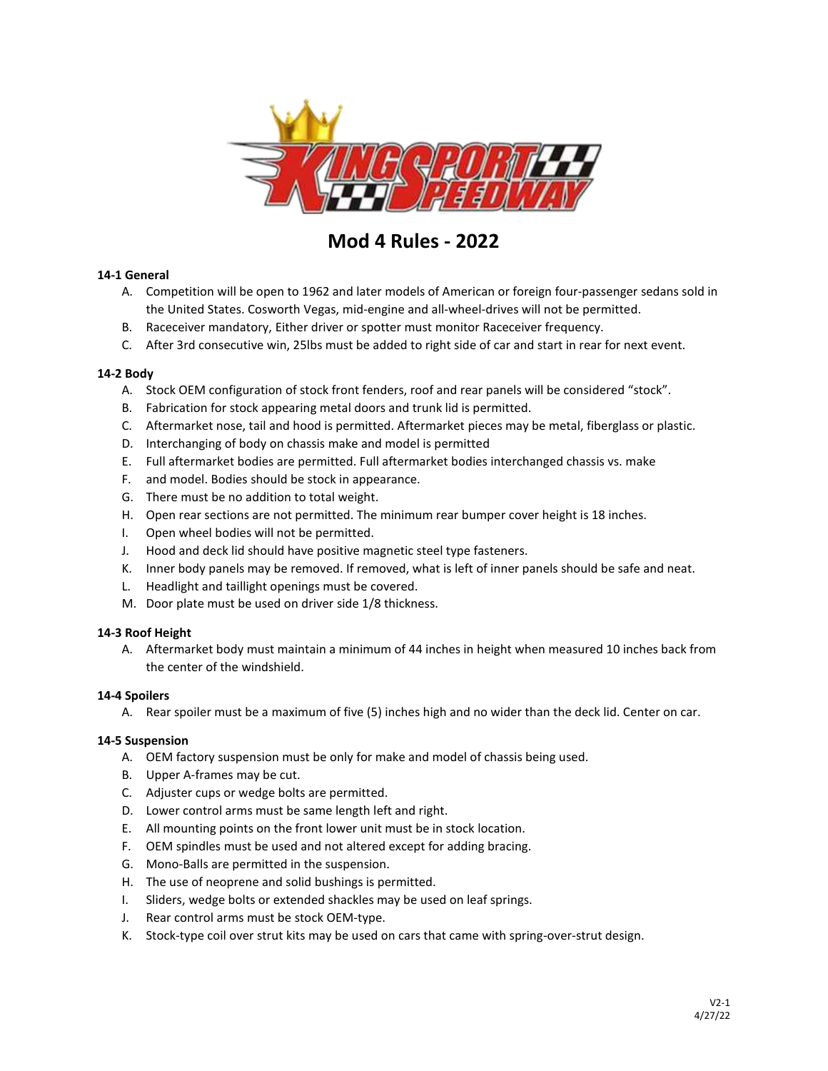

# **Mod 4 Rules - 2022**

## **14‐1 General**

- A. Competition will be open to 1962 and later models of American or foreign four‐passenger sedans sold in the United States. Cosworth Vegas, mid-engine and all-wheel-drives will not be permitted.
- B. Raceceiver mandatory, Either driver or spotter must monitor Raceceiver frequency.
- C. After 3rd consecutive win, 25lbs must be added to right side of car and start in rear for next event.

## **14‐2 Body**

- A. Stock OEM configuration of stock front fenders, roof and rear panels will be considered "stock".
- B. Fabrication for stock appearing metal doors and trunk lid is permitted.
- C. Aftermarket nose, tail and hood is permitted. Aftermarket pieces may be metal, fiberglass or plastic.
- D. Interchanging of body on chassis make and model is permitted
- E. Full aftermarket bodies are permitted. Full aftermarket bodies interchanged chassis vs. make
- F. and model. Bodies should be stock in appearance.
- G. There must be no addition to total weight.
- H. Open rear sections are not permitted. The minimum rear bumper cover height is 18 inches.
- I. Open wheel bodies will not be permitted.
- J. Hood and deck lid should have positive magnetic steel type fasteners.
- K. Inner body panels may be removed. If removed, what is left of inner panels should be safe and neat.
- L. Headlight and taillight openings must be covered.
- M. Door plate must be used on driver side 1/8 thickness.

## **14‐3 Roof Height**

A. Aftermarket body must maintain a minimum of 44 inches in height when measured 10 inches back from the center of the windshield.

## **14‐4 Spoilers**

A. Rear spoiler must be a maximum of five (5) inches high and no wider than the deck lid. Center on car.

## **14‐5 Suspension**

- A. OEM factory suspension must be only for make and model of chassis being used.
- B. Upper A‐frames may be cut.
- C. Adjuster cups or wedge bolts are permitted.
- D. Lower control arms must be same length left and right.
- E. All mounting points on the front lower unit must be in stock location.
- F. OEM spindles must be used and not altered except for adding bracing.
- G. Mono‐Balls are permitted in the suspension.
- H. The use of neoprene and solid bushings is permitted.
- I. Sliders, wedge bolts or extended shackles may be used on leaf springs.
- J. Rear control arms must be stock OEM‐type.
- K. Stock‐type coil over strut kits may be used on cars that came with spring‐over‐strut design.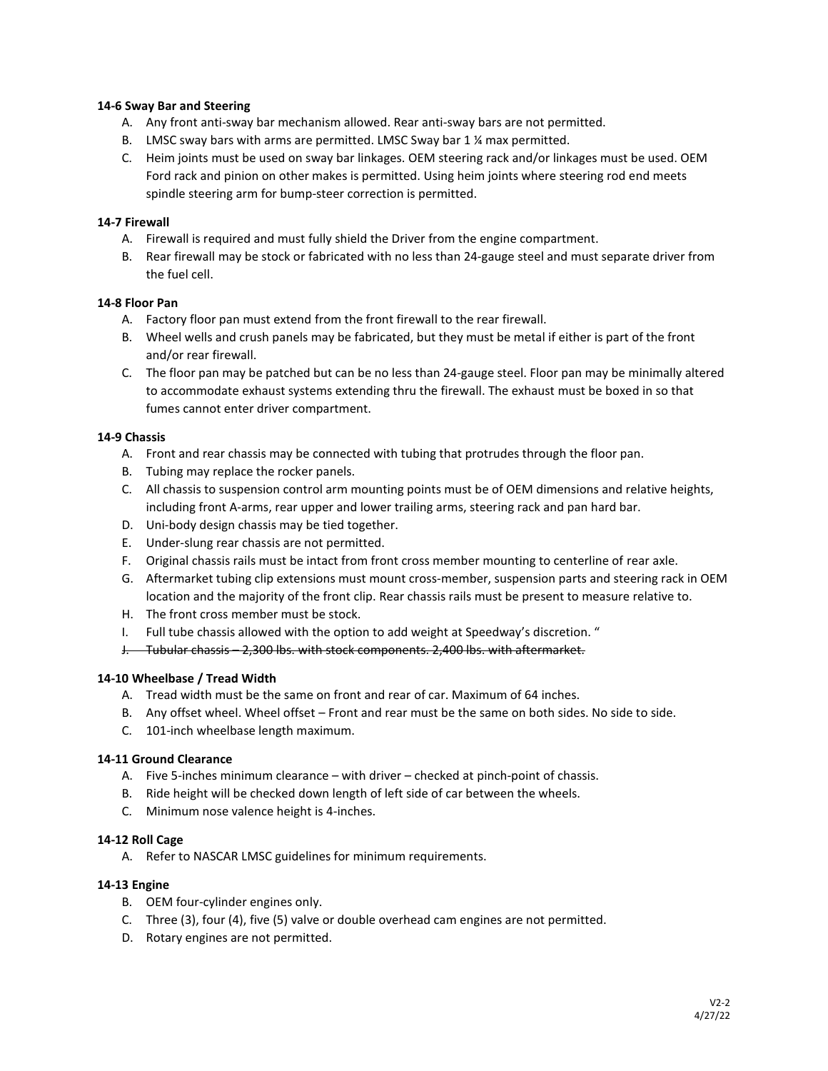#### **14‐6 Sway Bar and Steering**

- A. Any front anti‐sway bar mechanism allowed. Rear anti‐sway bars are not permitted.
- B. LMSC sway bars with arms are permitted. LMSC Sway bar 1 ¼ max permitted.
- C. Heim joints must be used on sway bar linkages. OEM steering rack and/or linkages must be used. OEM Ford rack and pinion on other makes is permitted. Using heim joints where steering rod end meets spindle steering arm for bump‐steer correction is permitted.

#### **14‐7 Firewall**

- A. Firewall is required and must fully shield the Driver from the engine compartment.
- B. Rear firewall may be stock or fabricated with no less than 24‐gauge steel and must separate driver from the fuel cell.

#### **14‐8 Floor Pan**

- A. Factory floor pan must extend from the front firewall to the rear firewall.
- B. Wheel wells and crush panels may be fabricated, but they must be metal if either is part of the front and/or rear firewall.
- C. The floor pan may be patched but can be no less than 24‐gauge steel. Floor pan may be minimally altered to accommodate exhaust systems extending thru the firewall. The exhaust must be boxed in so that fumes cannot enter driver compartment.

#### **14‐9 Chassis**

- A. Front and rear chassis may be connected with tubing that protrudes through the floor pan.
- B. Tubing may replace the rocker panels.
- C. All chassis to suspension control arm mounting points must be of OEM dimensions and relative heights, including front A‐arms, rear upper and lower trailing arms, steering rack and pan hard bar.
- D. Uni‐body design chassis may be tied together.
- E. Under‐slung rear chassis are not permitted.
- F. Original chassis rails must be intact from front cross member mounting to centerline of rear axle.
- G. Aftermarket tubing clip extensions must mount cross‐member, suspension parts and steering rack in OEM location and the majority of the front clip. Rear chassis rails must be present to measure relative to.
- H. The front cross member must be stock.
- I. Full tube chassis allowed with the option to add weight at Speedway's discretion. "
- J. Tubular chassis 2,300 lbs. with stock components. 2,400 lbs. with aftermarket.

## **14‐10 Wheelbase / Tread Width**

- A. Tread width must be the same on front and rear of car. Maximum of 64 inches.
- B. Any offset wheel. Wheel offset Front and rear must be the same on both sides. No side to side.
- C. 101‐inch wheelbase length maximum.

# **14‐11 Ground Clearance**

- A. Five 5-inches minimum clearance with driver checked at pinch‐point of chassis.
- B. Ride height will be checked down length of left side of car between the wheels.
- C. Minimum nose valence height is 4-inches.

#### **14‐12 Roll Cage**

A. Refer to NASCAR LMSC guidelines for minimum requirements.

#### **14‐13 Engine**

- B. OEM four‐cylinder engines only.
- C. Three (3), four (4), five (5) valve or double overhead cam engines are not permitted.
- D. Rotary engines are not permitted.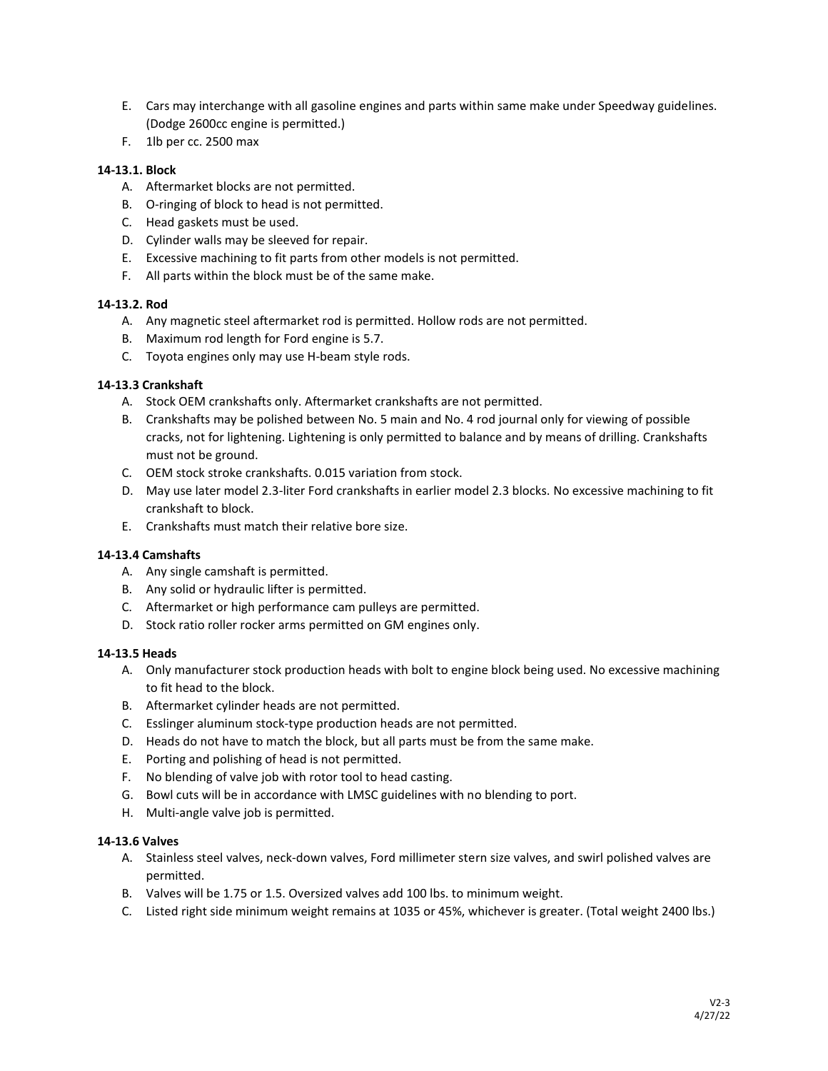- E. Cars may interchange with all gasoline engines and parts within same make under Speedway guidelines. (Dodge 2600cc engine is permitted.)
- F. 1lb per cc. 2500 max

## **14‐13.1. Block**

- A. Aftermarket blocks are not permitted.
- B. O-ringing of block to head is not permitted.
- C. Head gaskets must be used.
- D. Cylinder walls may be sleeved for repair.
- E. Excessive machining to fit parts from other models is not permitted.
- F. All parts within the block must be of the same make.

# **14‐13.2. Rod**

- A. Any magnetic steel aftermarket rod is permitted. Hollow rods are not permitted.
- B. Maximum rod length for Ford engine is 5.7.
- C. Toyota engines only may use H‐beam style rods.

# **14‐13.3 Crankshaft**

- A. Stock OEM crankshafts only. Aftermarket crankshafts are not permitted.
- B. Crankshafts may be polished between No. 5 main and No. 4 rod journal only for viewing of possible cracks, not for lightening. Lightening is only permitted to balance and by means of drilling. Crankshafts must not be ground.
- C. OEM stock stroke crankshafts. 0.015 variation from stock.
- D. May use later model 2.3‐liter Ford crankshafts in earlier model 2.3 blocks. No excessive machining to fit crankshaft to block.
- E. Crankshafts must match their relative bore size.

## **14‐13.4 Camshafts**

- A. Any single camshaft is permitted.
- B. Any solid or hydraulic lifter is permitted.
- C. Aftermarket or high performance cam pulleys are permitted.
- D. Stock ratio roller rocker arms permitted on GM engines only.

## **14‐13.5 Heads**

- A. Only manufacturer stock production heads with bolt to engine block being used. No excessive machining to fit head to the block.
- B. Aftermarket cylinder heads are not permitted.
- C. Esslinger aluminum stock‐type production heads are not permitted.
- D. Heads do not have to match the block, but all parts must be from the same make.
- E. Porting and polishing of head is not permitted.
- F. No blending of valve job with rotor tool to head casting.
- G. Bowl cuts will be in accordance with LMSC guidelines with no blending to port.
- H. Multi-angle valve job is permitted.

## **14‐13.6 Valves**

- A. Stainless steel valves, neck‐down valves, Ford millimeter stern size valves, and swirl polished valves are permitted.
- B. Valves will be 1.75 or 1.5. Oversized valves add 100 lbs. to minimum weight.
- C. Listed right side minimum weight remains at 1035 or 45%, whichever is greater. (Total weight 2400 lbs.)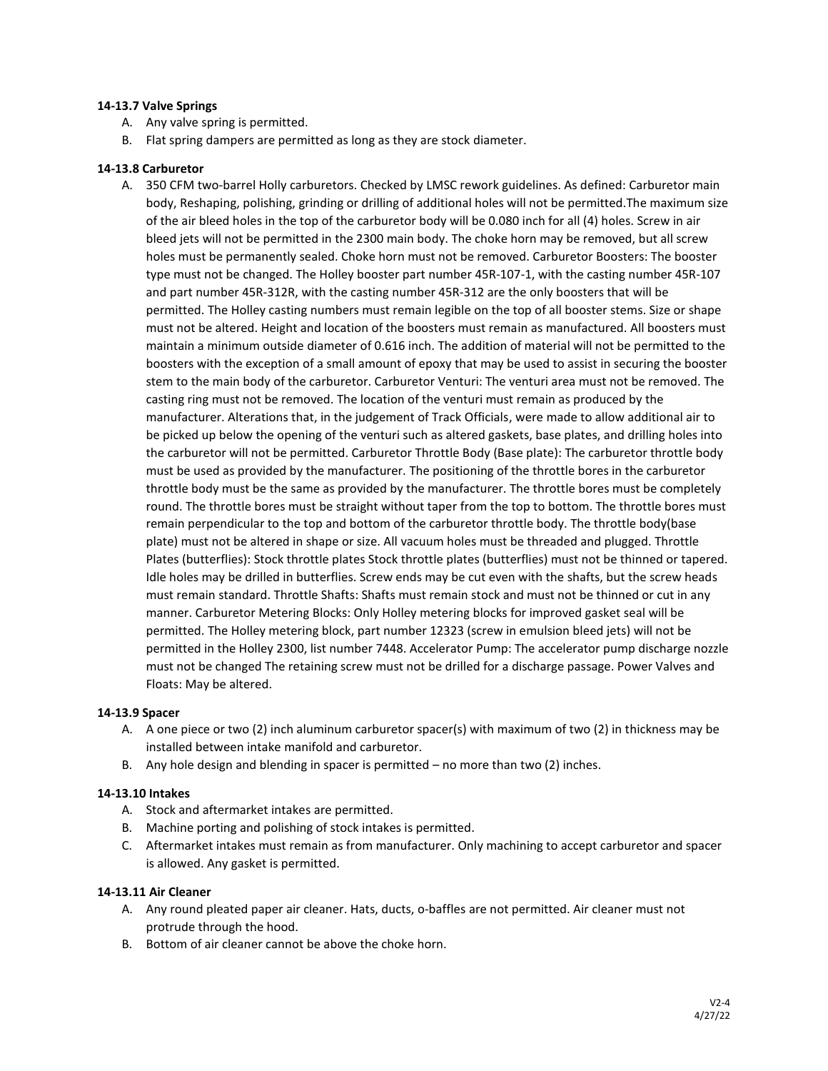#### **14‐13.7 Valve Springs**

- A. Any valve spring is permitted.
- B. Flat spring dampers are permitted as long as they are stock diameter.

#### **14‐13.8 Carburetor**

A. 350 CFM two-barrel Holly carburetors. Checked by LMSC rework guidelines. As defined: Carburetor main body, Reshaping, polishing, grinding or drilling of additional holes will not be permitted.The maximum size of the air bleed holes in the top of the carburetor body will be 0.080 inch for all (4) holes. Screw in air bleed jets will not be permitted in the 2300 main body. The choke horn may be removed, but all screw holes must be permanently sealed. Choke horn must not be removed. Carburetor Boosters: The booster type must not be changed. The Holley booster part number 45R‐107‐1, with the casting number 45R‐107 and part number 45R‐312R, with the casting number 45R‐312 are the only boosters that will be permitted. The Holley casting numbers must remain legible on the top of all booster stems. Size or shape must not be altered. Height and location of the boosters must remain as manufactured. All boosters must maintain a minimum outside diameter of 0.616 inch. The addition of material will not be permitted to the boosters with the exception of a small amount of epoxy that may be used to assist in securing the booster stem to the main body of the carburetor. Carburetor Venturi: The venturi area must not be removed. The casting ring must not be removed. The location of the venturi must remain as produced by the manufacturer. Alterations that, in the judgement of Track Officials, were made to allow additional air to be picked up below the opening of the venturi such as altered gaskets, base plates, and drilling holes into the carburetor will not be permitted. Carburetor Throttle Body (Base plate): The carburetor throttle body must be used as provided by the manufacturer. The positioning of the throttle bores in the carburetor throttle body must be the same as provided by the manufacturer. The throttle bores must be completely round. The throttle bores must be straight without taper from the top to bottom. The throttle bores must remain perpendicular to the top and bottom of the carburetor throttle body. The throttle body(base plate) must not be altered in shape or size. All vacuum holes must be threaded and plugged. Throttle Plates (butterflies): Stock throttle plates Stock throttle plates (butterflies) must not be thinned or tapered. Idle holes may be drilled in butterflies. Screw ends may be cut even with the shafts, but the screw heads must remain standard. Throttle Shafts: Shafts must remain stock and must not be thinned or cut in any manner. Carburetor Metering Blocks: Only Holley metering blocks for improved gasket seal will be permitted. The Holley metering block, part number 12323 (screw in emulsion bleed jets) will not be permitted in the Holley 2300, list number 7448. Accelerator Pump: The accelerator pump discharge nozzle must not be changed The retaining screw must not be drilled for a discharge passage. Power Valves and Floats: May be altered.

#### **14‐13.9 Spacer**

- A. A one piece or two (2) inch aluminum carburetor spacer(s) with maximum of two (2) in thickness may be installed between intake manifold and carburetor.
- B. Any hole design and blending in spacer is permitted no more than two (2) inches.

## **14‐13.10 Intakes**

- A. Stock and aftermarket intakes are permitted.
- B. Machine porting and polishing of stock intakes is permitted.
- C. Aftermarket intakes must remain as from manufacturer. Only machining to accept carburetor and spacer is allowed. Any gasket is permitted.

## **14‐13.11 Air Cleaner**

- A. Any round pleated paper air cleaner. Hats, ducts, o‐baffles are not permitted. Air cleaner must not protrude through the hood.
- B. Bottom of air cleaner cannot be above the choke horn.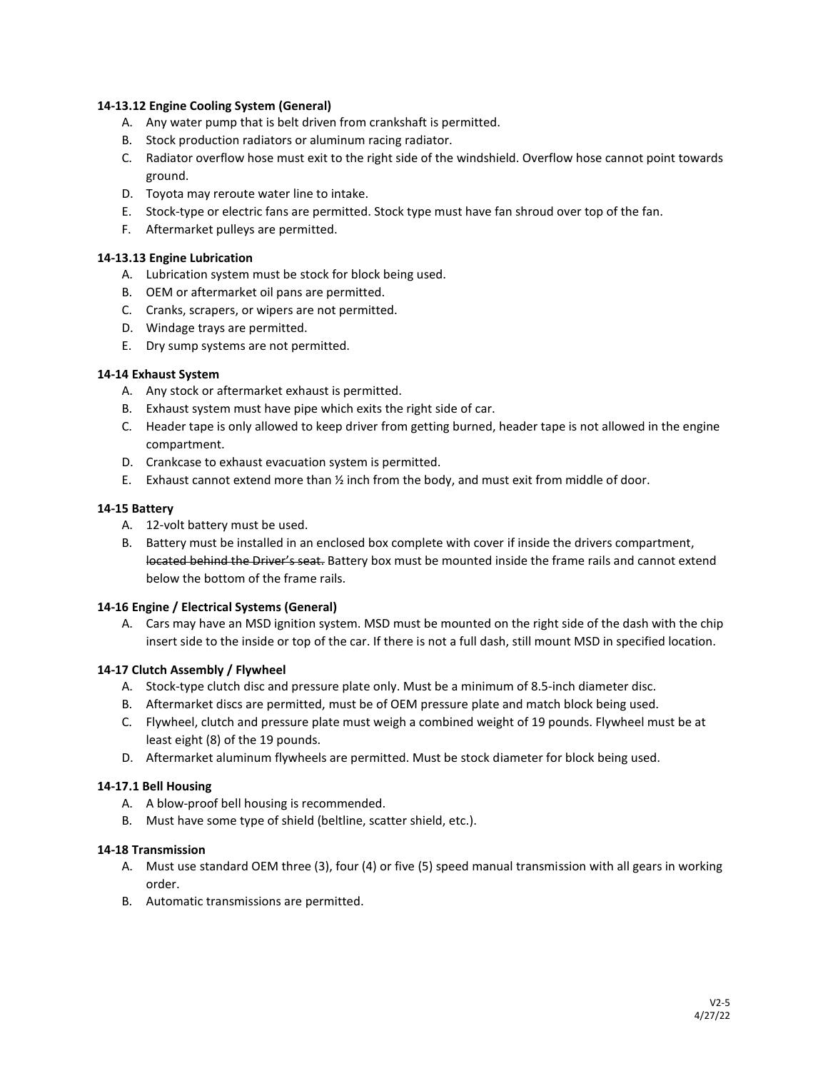#### **14‐13.12 Engine Cooling System (General)**

- A. Any water pump that is belt driven from crankshaft is permitted.
- B. Stock production radiators or aluminum racing radiator.
- C. Radiator overflow hose must exit to the right side of the windshield. Overflow hose cannot point towards ground.
- D. Toyota may reroute water line to intake.
- E. Stock‐type or electric fans are permitted. Stock type must have fan shroud over top of the fan.
- F. Aftermarket pulleys are permitted.

## **14‐13.13 Engine Lubrication**

- A. Lubrication system must be stock for block being used.
- B. OEM or aftermarket oil pans are permitted.
- C. Cranks, scrapers, or wipers are not permitted.
- D. Windage trays are permitted.
- E. Dry sump systems are not permitted.

## **14‐14 Exhaust System**

- A. Any stock or aftermarket exhaust is permitted.
- B. Exhaust system must have pipe which exits the right side of car.
- C. Header tape is only allowed to keep driver from getting burned, header tape is not allowed in the engine compartment.
- D. Crankcase to exhaust evacuation system is permitted.
- E. Exhaust cannot extend more than  $\frac{1}{2}$  inch from the body, and must exit from middle of door.

#### **14‐15 Battery**

- A. 12‐volt battery must be used.
- B. Battery must be installed in an enclosed box complete with cover if inside the drivers compartment, located behind the Driver's seat. Battery box must be mounted inside the frame rails and cannot extend below the bottom of the frame rails.

## **14‐16 Engine / Electrical Systems (General)**

A. Cars may have an MSD ignition system. MSD must be mounted on the right side of the dash with the chip insert side to the inside or top of the car. If there is not a full dash, still mount MSD in specified location.

## **14‐17 Clutch Assembly / Flywheel**

- A. Stock‐type clutch disc and pressure plate only. Must be a minimum of 8.5‐inch diameter disc.
- B. Aftermarket discs are permitted, must be of OEM pressure plate and match block being used.
- C. Flywheel, clutch and pressure plate must weigh a combined weight of 19 pounds. Flywheel must be at least eight (8) of the 19 pounds.
- D. Aftermarket aluminum flywheels are permitted. Must be stock diameter for block being used.

## **14‐17.1 Bell Housing**

- A. A blow‐proof bell housing is recommended.
- B. Must have some type of shield (beltline, scatter shield, etc.).

## **14‐18 Transmission**

- A. Must use standard OEM three (3), four (4) or five (5) speed manual transmission with all gears in working order.
- B. Automatic transmissions are permitted.